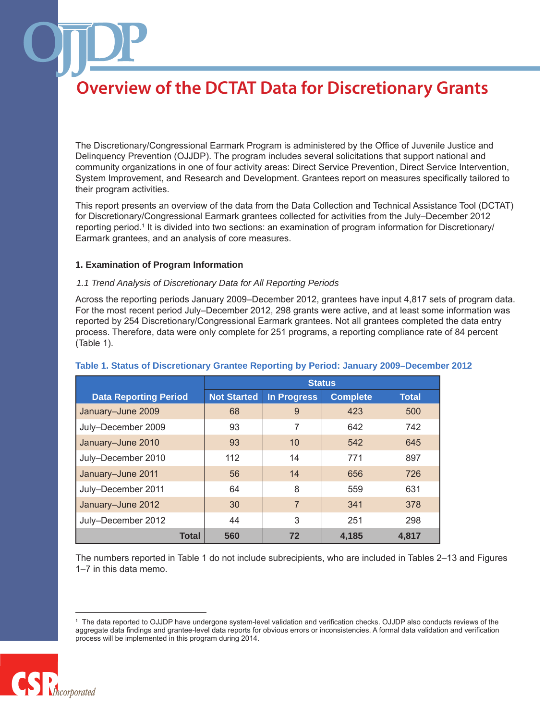The Discretionary/Congressional Earmark Program is administered by the Office of Juvenile Justice and Delinquency Prevention (OJJDP). The program includes several solicitations that support national and community organizations in one of four activity areas: Direct Service Prevention, Direct Service Intervention, System Improvement, and Research and Development. Grantees report on measures specifically tailored to their program activities.

This report presents an overview of the data from the Data Collection and Technical Assistance Tool (DCTAT) for Discretionary/Congressional Earmark grantees collected for activities from the July–December 2012 reporting period.1 It is divided into two sections: an examination of program information for Discretionary/ Earmark grantees, and an analysis of core measures.

### **1. Examination of Program Information**

#### *1.1 Trend Analysis of Discretionary Data for All Reporting Periods*

Across the reporting periods January 2009–December 2012, grantees have input 4,817 sets of program data. For the most recent period July–December 2012, 298 grants were active, and at least some information was reported by 254 Discretionary/Congressional Earmark grantees. Not all grantees completed the data entry process. Therefore, data were only complete for 251 programs, a reporting compliance rate of 84 percent (Table 1).

|                              | <b>Status</b>      |                |                 |              |
|------------------------------|--------------------|----------------|-----------------|--------------|
| <b>Data Reporting Period</b> | <b>Not Started</b> | In Progress    | <b>Complete</b> | <b>Total</b> |
| January-June 2009            | 68                 | 9              | 423             | 500          |
| July-December 2009           | 93                 | 7              | 642             | 742          |
| January-June 2010            | 93                 | 10             | 542             | 645          |
| July-December 2010           | 112                | 14             | 771             | 897          |
| January-June 2011            | 56                 | 14             | 656             | 726          |
| July-December 2011           | 64                 | 8              | 559             | 631          |
| January-June 2012            | 30                 | $\overline{7}$ | 341             | 378          |
| July-December 2012           | 44                 | 3              | 251             | 298          |
| <b>Total</b>                 | 560                | 72             | 4,185           | 4,817        |

### **Table 1. Status of Discretionary Grantee Reporting by Period: January 2009–December 2012**

The numbers reported in Table 1 do not include subrecipients, who are included in Tables 2–13 and Figures 1–7 in this data memo.

<sup>1</sup> The data reported to OJJDP have undergone system-level validation and verification checks. OJJDP also conducts reviews of the aggregate data findings and grantee-level data reports for obvious errors or inconsistencies. A formal data validation and verification process will be implemented in this program during 2014.

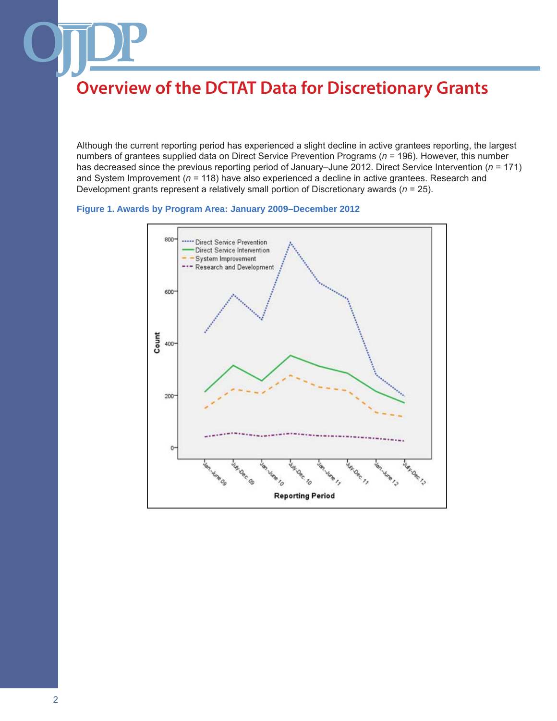Although the current reporting period has experienced a slight decline in active grantees reporting, the largest numbers of grantees supplied data on Direct Service Prevention Programs (*n* = 196). However, this number has decreased since the previous reporting period of January–June 2012. Direct Service Intervention (*n* = 171) and System Improvement (*n* = 118) have also experienced a decline in active grantees. Research and Development grants represent a relatively small portion of Discretionary awards (*n* = 25).



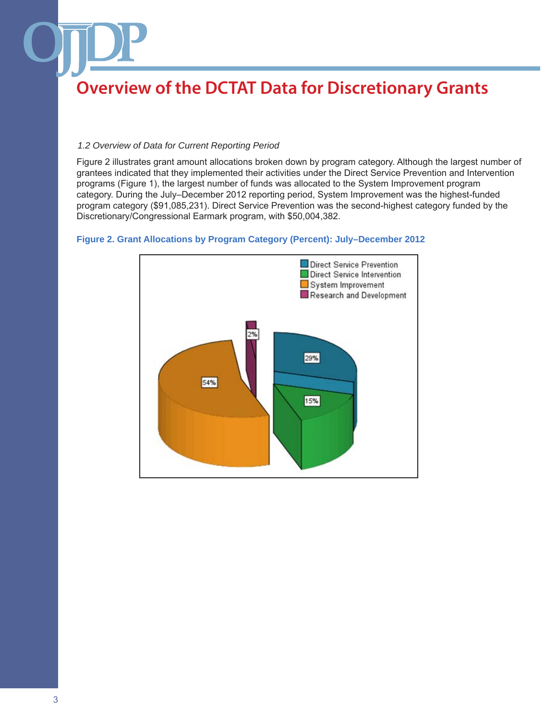### *1.2 Overview of Data for Current Reporting Period*

Figure 2 illustrates grant amount allocations broken down by program category. Although the largest number of grantees indicated that they implemented their activities under the Direct Service Prevention and Intervention programs (Figure 1), the largest number of funds was allocated to the System Improvement program category. During the July–December 2012 reporting period, System Improvement was the highest-funded program category (\$91,085,231). Direct Service Prevention was the second-highest category funded by the Discretionary/Congressional Earmark program, with \$50,004,382.



### **Figure 2. Grant Allocations by Program Category (Percent): July–December 2012**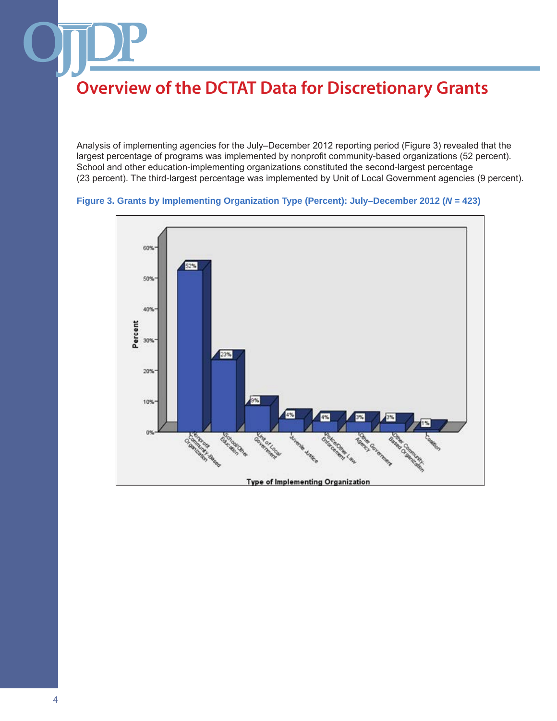Analysis of implementing agencies for the July–December 2012 reporting period (Figure 3) revealed that the largest percentage of programs was implemented by nonprofit community-based organizations (52 percent). School and other education-implementing organizations constituted the second-largest percentage (23 percent). The third-largest percentage was implemented by Unit of Local Government agencies (9 percent).



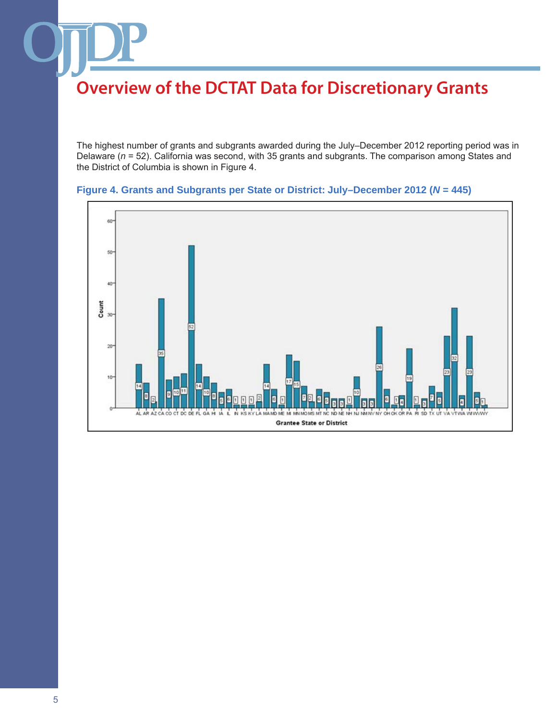The highest number of grants and subgrants awarded during the July–December 2012 reporting period was in Delaware (*n* = 52). California was second, with 35 grants and subgrants. The comparison among States and the District of Columbia is shown in Figure 4.



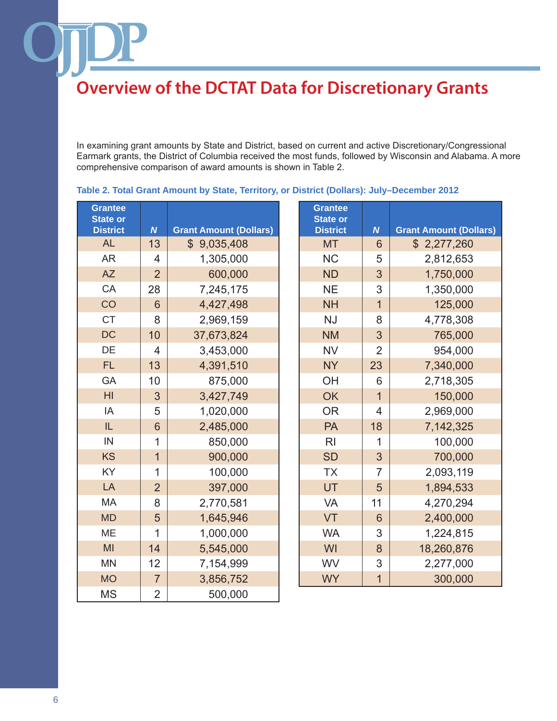In examining grant amounts by State and District, based on current and active Discretionary/Congressional Earmark grants, the District of Columbia received the most funds, followed by Wisconsin and Alabama. A more comprehensive comparison of award amounts is shown in Table 2.

| <b>Grantee</b><br><b>State or</b><br><b>District</b> | $\boldsymbol{N}$ | <b>Grant Amount (Dollars)</b> | <b>Grantee</b><br><b>State or</b><br><b>District</b> | $\boldsymbol{N}$ | <b>Grant Amount (Dollars)</b> |
|------------------------------------------------------|------------------|-------------------------------|------------------------------------------------------|------------------|-------------------------------|
| <b>AL</b>                                            | 13               | \$9,035,408                   | <b>MT</b>                                            | 6                | \$2,277,260                   |
| <b>AR</b>                                            | $\overline{4}$   | 1,305,000                     | <b>NC</b>                                            | 5                | 2,812,653                     |
| <b>AZ</b>                                            | $\overline{2}$   | 600,000                       | <b>ND</b>                                            | 3                | 1,750,000                     |
| CA                                                   | 28               | 7,245,175                     | <b>NE</b>                                            | 3                | 1,350,000                     |
| CO                                                   | 6                | 4,427,498                     | <b>NH</b>                                            | $\overline{1}$   | 125,000                       |
| <b>CT</b>                                            | 8                | 2,969,159                     | <b>NJ</b>                                            | 8                | 4,778,308                     |
| <b>DC</b>                                            | 10               | 37,673,824                    | <b>NM</b>                                            | 3                | 765,000                       |
| DE                                                   | $\overline{4}$   | 3,453,000                     | <b>NV</b>                                            | $\overline{2}$   | 954,000                       |
| <b>FL</b>                                            | 13               | 4,391,510                     | <b>NY</b>                                            | 23               | 7,340,000                     |
| GA                                                   | 10               | 875,000                       | OH                                                   | 6                | 2,718,305                     |
| H <sub>l</sub>                                       | 3                | 3,427,749                     | <b>OK</b>                                            | $\overline{1}$   | 150,000                       |
| IA                                                   | 5                | 1,020,000                     | <b>OR</b>                                            | $\overline{4}$   | 2,969,000                     |
| IL                                                   | 6                | 2,485,000                     | <b>PA</b>                                            | 18               | 7,142,325                     |
| IN                                                   | 1                | 850,000                       | R <sub>l</sub>                                       | 1                | 100,000                       |
| <b>KS</b>                                            | $\overline{1}$   | 900,000                       | <b>SD</b>                                            | 3                | 700,000                       |
| KY                                                   | $\overline{1}$   | 100,000                       | <b>TX</b>                                            | $\overline{7}$   | 2,093,119                     |
| LA                                                   | $\overline{2}$   | 397,000                       | UT                                                   | 5                | 1,894,533                     |
| <b>MA</b>                                            | 8                | 2,770,581                     | VA                                                   | 11               | 4,270,294                     |
| <b>MD</b>                                            | 5                | 1,645,946                     | <b>VT</b>                                            | 6                | 2,400,000                     |
| ME                                                   | $\mathbf 1$      | 1,000,000                     | <b>WA</b>                                            | 3                | 1,224,815                     |
| MI                                                   | 14               | 5,545,000                     | WI                                                   | 8                | 18,260,876                    |
| <b>MN</b>                                            | 12               | 7,154,999                     | WV                                                   | 3                | 2,277,000                     |
| <b>MO</b>                                            | $\overline{7}$   | 3,856,752                     | <b>WY</b>                                            | $\overline{1}$   | 300,000                       |
| <b>MS</b>                                            | $\overline{2}$   | 500,000                       |                                                      |                  |                               |

## **Table 2. Total Grant Amount by State, Territory, or District (Dollars): July–December 2012**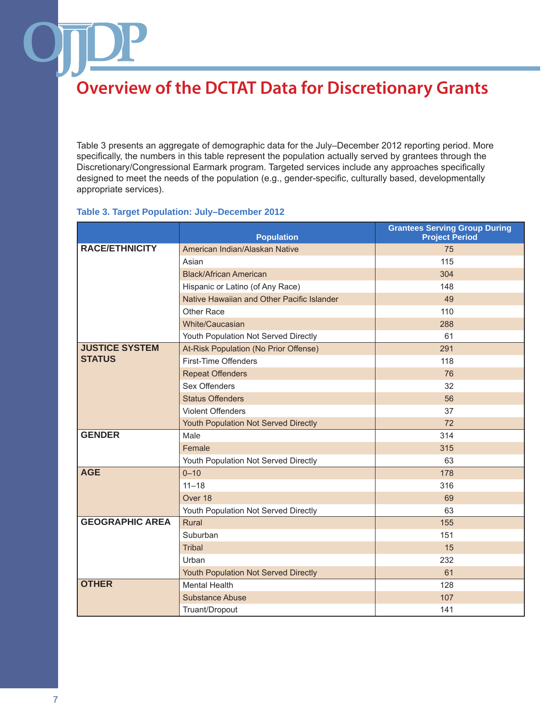Table 3 presents an aggregate of demographic data for the July–December 2012 reporting period. More specifically, the numbers in this table represent the population actually served by grantees through the Discretionary/Congressional Earmark program. Targeted services include any approaches specifically designed to meet the needs of the population (e.g., gender-specific, culturally based, developmentally appropriate services).

## **Table 3. Target Population: July–December 2012**

|                        | <b>Population</b>                           | <b>Grantees Serving Group During</b><br><b>Project Period</b> |
|------------------------|---------------------------------------------|---------------------------------------------------------------|
| <b>RACE/ETHNICITY</b>  | American Indian/Alaskan Native              | 75                                                            |
|                        | Asian                                       | 115                                                           |
|                        | <b>Black/African American</b>               | 304                                                           |
|                        | Hispanic or Latino (of Any Race)            | 148                                                           |
|                        | Native Hawaiian and Other Pacific Islander  | 49                                                            |
|                        | Other Race                                  | 110                                                           |
|                        | White/Caucasian                             | 288                                                           |
|                        | Youth Population Not Served Directly        | 61                                                            |
| <b>JUSTICE SYSTEM</b>  | At-Risk Population (No Prior Offense)       | 291                                                           |
| <b>STATUS</b>          | First-Time Offenders                        | 118                                                           |
|                        | <b>Repeat Offenders</b>                     | 76                                                            |
|                        | Sex Offenders                               | 32                                                            |
|                        | <b>Status Offenders</b>                     | 56                                                            |
|                        | <b>Violent Offenders</b>                    | 37                                                            |
|                        | <b>Youth Population Not Served Directly</b> | 72                                                            |
| <b>GENDER</b>          | Male                                        | 314                                                           |
|                        | Female                                      | 315                                                           |
|                        | Youth Population Not Served Directly        | 63                                                            |
| <b>AGE</b>             | $0 - 10$                                    | 178                                                           |
|                        | $11 - 18$                                   | 316                                                           |
|                        | Over 18                                     | 69                                                            |
|                        | Youth Population Not Served Directly        | 63                                                            |
| <b>GEOGRAPHIC AREA</b> | Rural                                       | 155                                                           |
|                        | Suburban                                    | 151                                                           |
|                        | <b>Tribal</b>                               | 15                                                            |
|                        | Urban                                       | 232                                                           |
|                        | Youth Population Not Served Directly        | 61                                                            |
| <b>OTHER</b>           | <b>Mental Health</b>                        | 128                                                           |
|                        | Substance Abuse                             | 107                                                           |
|                        | Truant/Dropout                              | 141                                                           |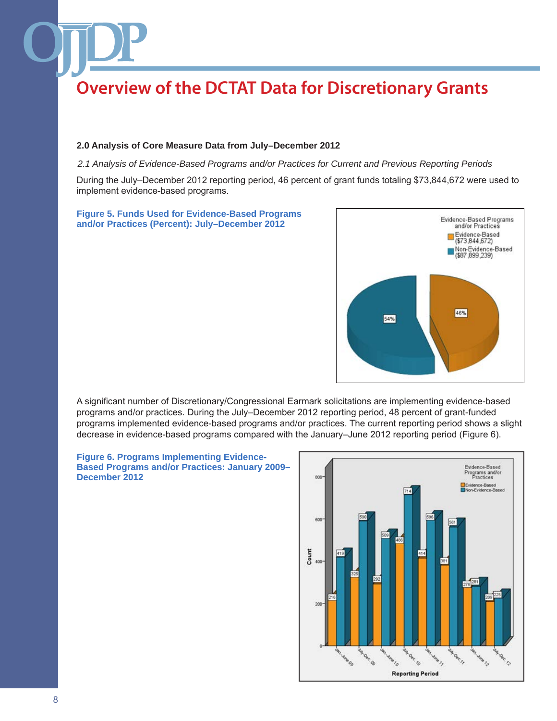#### **2.0 Analysis of Core Measure Data from July–December 2012**

*2.1 Analysis of Evidence-Based Programs and/or Practices for Current and Previous Reporting Periods*

During the July–December 2012 reporting period, 46 percent of grant funds totaling \$73,844,672 were used to implement evidence-based programs.

#### **Figure 5. Funds Used for Evidence-Based Programs and/or Practices (Percent): July–December 2012**



A significant number of Discretionary/Congressional Earmark solicitations are implementing evidence-based programs and/or practices. During the July–December 2012 reporting period, 48 percent of grant-funded programs implemented evidence-based programs and/or practices. The current reporting period shows a slight decrease in evidence-based programs compared with the January–June 2012 reporting period (Figure 6).

#### **Figure 6. Programs Implementing Evidence-Based Programs and/or Practices: January 2009– December 2012**

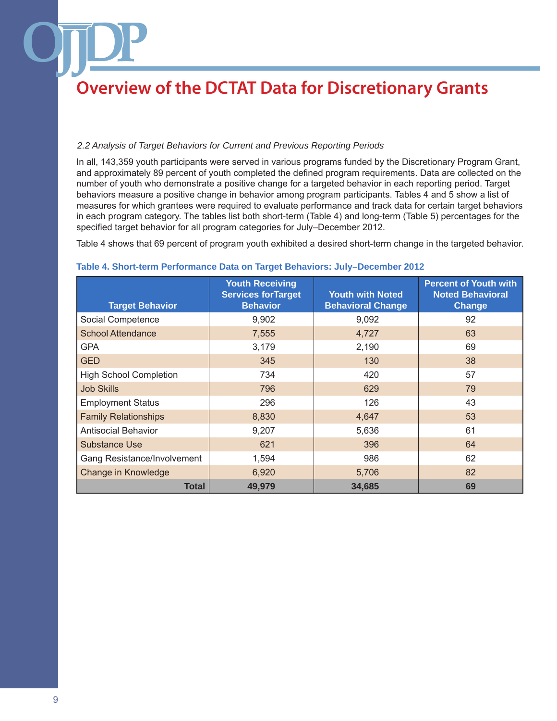### *2.2 Analysis of Target Behaviors for Current and Previous Reporting Periods*

In all, 143,359 youth participants were served in various programs funded by the Discretionary Program Grant, and approximately 89 percent of youth completed the defined program requirements. Data are collected on the number of youth who demonstrate a positive change for a targeted behavior in each reporting period. Target behaviors measure a positive change in behavior among program participants. Tables 4 and 5 show a list of measures for which grantees were required to evaluate performance and track data for certain target behaviors in each program category. The tables list both short-term (Table 4) and long-term (Table 5) percentages for the specified target behavior for all program categories for July–December 2012.

Table 4 shows that 69 percent of program youth exhibited a desired short-term change in the targeted behavior.

| <b>Target Behavior</b>        | <b>Youth Receiving</b><br><b>Services for Target</b><br><b>Behavior</b> | <b>Youth with Noted</b><br><b>Behavioral Change</b> | <b>Percent of Youth with</b><br><b>Noted Behavioral</b><br>Change |
|-------------------------------|-------------------------------------------------------------------------|-----------------------------------------------------|-------------------------------------------------------------------|
| Social Competence             | 9,902                                                                   | 9,092                                               | 92                                                                |
| <b>School Attendance</b>      | 7,555                                                                   | 4,727                                               | 63                                                                |
| <b>GPA</b>                    | 3,179                                                                   | 2,190                                               | 69                                                                |
| <b>GED</b>                    | 345                                                                     | 130                                                 | 38                                                                |
| <b>High School Completion</b> | 734                                                                     | 420                                                 | 57                                                                |
| <b>Job Skills</b>             | 796                                                                     | 629                                                 | 79                                                                |
| <b>Employment Status</b>      | 296                                                                     | 126                                                 | 43                                                                |
| <b>Family Relationships</b>   | 8,830                                                                   | 4,647                                               | 53                                                                |
| <b>Antisocial Behavior</b>    | 9,207                                                                   | 5,636                                               | 61                                                                |
| <b>Substance Use</b>          | 621                                                                     | 396                                                 | 64                                                                |
| Gang Resistance/Involvement   | 1,594                                                                   | 986                                                 | 62                                                                |
| Change in Knowledge           | 6,920                                                                   | 5,706                                               | 82                                                                |
| Total                         | 49,979                                                                  | 34,685                                              | 69                                                                |

#### **Table 4. Short-term Performance Data on Target Behaviors: July–December 2012**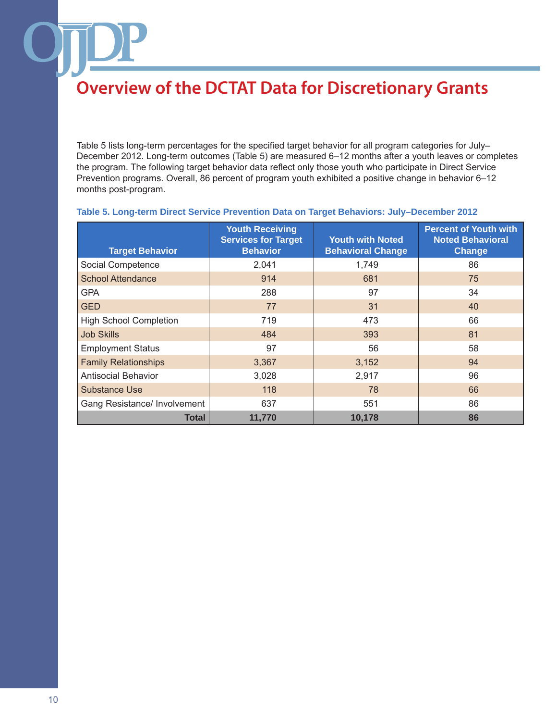Table 5 lists long-term percentages for the specified target behavior for all program categories for July– December 2012. Long-term outcomes (Table 5) are measured 6–12 months after a youth leaves or completes the program. The following target behavior data reflect only those youth who participate in Direct Service Prevention programs. Overall, 86 percent of program youth exhibited a positive change in behavior 6–12 months post-program.

| <b>Target Behavior</b>        | <b>Youth Receiving</b><br><b>Services for Target</b><br><b>Behavior</b> | <b>Youth with Noted</b><br><b>Behavioral Change</b> | <b>Percent of Youth with</b><br><b>Noted Behavioral</b><br><b>Change</b> |
|-------------------------------|-------------------------------------------------------------------------|-----------------------------------------------------|--------------------------------------------------------------------------|
| Social Competence             | 2,041                                                                   | 1,749                                               | 86                                                                       |
| <b>School Attendance</b>      | 914                                                                     | 681                                                 | 75                                                                       |
| <b>GPA</b>                    | 288                                                                     | 97                                                  | 34                                                                       |
| <b>GED</b>                    | 77                                                                      | 31                                                  | 40                                                                       |
| <b>High School Completion</b> | 719                                                                     | 473                                                 | 66                                                                       |
| <b>Job Skills</b>             | 484                                                                     | 393                                                 | 81                                                                       |
| <b>Employment Status</b>      | 97                                                                      | 56                                                  | 58                                                                       |
| <b>Family Relationships</b>   | 3,367                                                                   | 3,152                                               | 94                                                                       |
| <b>Antisocial Behavior</b>    | 3,028                                                                   | 2,917                                               | 96                                                                       |
| <b>Substance Use</b>          | 118                                                                     | 78                                                  | 66                                                                       |
| Gang Resistance/ Involvement  | 637                                                                     | 551                                                 | 86                                                                       |
| Total                         | 11,770                                                                  | 10,178                                              | 86                                                                       |

### **Table 5. Long-term Direct Service Prevention Data on Target Behaviors: July–December 2012**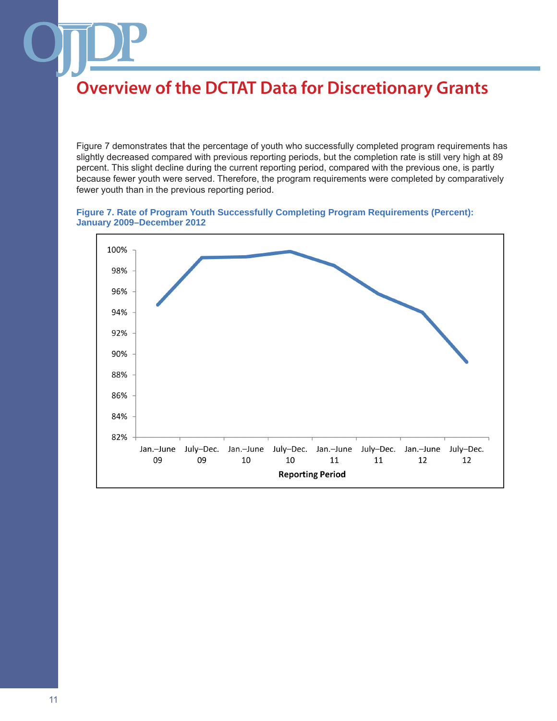Figure 7 demonstrates that the percentage of youth who successfully completed program requirements has slightly decreased compared with previous reporting periods, but the completion rate is still very high at 89 percent. This slight decline during the current reporting period, compared with the previous one, is partly because fewer youth were served. Therefore, the program requirements were completed by comparatively fewer youth than in the previous reporting period.

#### **Figure 7. Rate of Program Youth Successfully Completing Program Requirements (Percent): January 2009–December 2012**

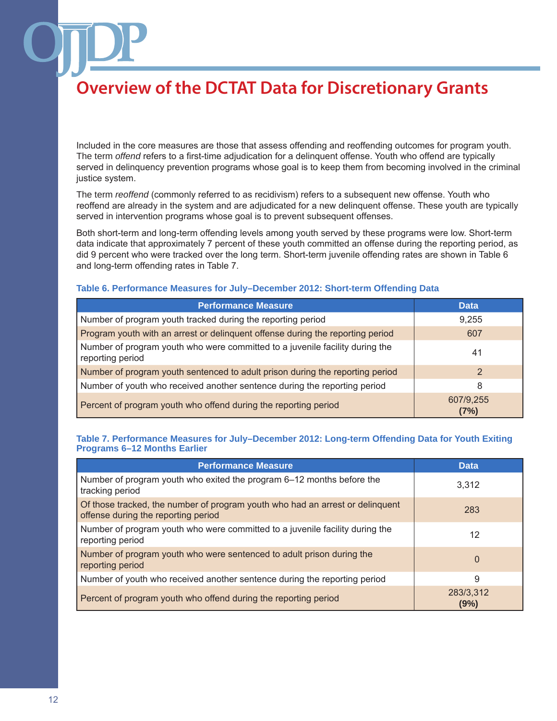Included in the core measures are those that assess offending and reoffending outcomes for program youth. The term *offend* refers to a first-time adjudication for a delinquent offense. Youth who offend are typically served in delinquency prevention programs whose goal is to keep them from becoming involved in the criminal justice system.

The term *reoffend* (commonly referred to as recidivism) refers to a subsequent new offense. Youth who reoffend are already in the system and are adjudicated for a new delinquent offense. These youth are typically served in intervention programs whose goal is to prevent subsequent offenses.

Both short-term and long-term offending levels among youth served by these programs were low. Short-term data indicate that approximately 7 percent of these youth committed an offense during the reporting period, as did 9 percent who were tracked over the long term. Short-term juvenile offending rates are shown in Table 6 and long-term offending rates in Table 7.

#### **Table 6. Performance Measures for July–December 2012: Short-term Offending Data**

| <b>Performance Measure</b>                                                                       | <b>Data</b>       |
|--------------------------------------------------------------------------------------------------|-------------------|
| Number of program youth tracked during the reporting period                                      | 9,255             |
| Program youth with an arrest or delinquent offense during the reporting period                   | 607               |
| Number of program youth who were committed to a juvenile facility during the<br>reporting period | 41                |
| Number of program youth sentenced to adult prison during the reporting period                    | 2                 |
| Number of youth who received another sentence during the reporting period                        | 8                 |
| Percent of program youth who offend during the reporting period                                  | 607/9,255<br>(7%) |

### **Table 7. Performance Measures for July–December 2012: Long-term Offending Data for Youth Exiting Programs 6–12 Months Earlier**

| <b>Performance Measure</b>                                                                                           | <b>Data</b>       |
|----------------------------------------------------------------------------------------------------------------------|-------------------|
| Number of program youth who exited the program 6–12 months before the<br>tracking period                             | 3,312             |
| Of those tracked, the number of program youth who had an arrest or delinguent<br>offense during the reporting period | 283               |
| Number of program youth who were committed to a juvenile facility during the<br>reporting period                     | 12                |
| Number of program youth who were sentenced to adult prison during the<br>reporting period                            | $\Omega$          |
| Number of youth who received another sentence during the reporting period                                            | 9                 |
| Percent of program youth who offend during the reporting period                                                      | 283/3,312<br>(9%) |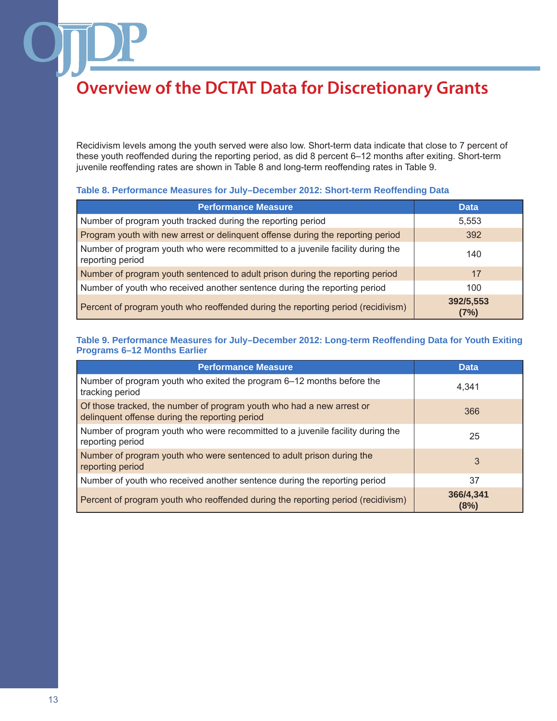Recidivism levels among the youth served were also low. Short-term data indicate that close to 7 percent of these youth reoffended during the reporting period, as did 8 percent 6–12 months after exiting. Short-term juvenile reoffending rates are shown in Table 8 and long-term reoffending rates in Table 9.

### **Table 8. Performance Measures for July–December 2012: Short-term Reoffending Data**

| <b>Performance Measure</b>                                                                         | <b>Data</b>       |
|----------------------------------------------------------------------------------------------------|-------------------|
| Number of program youth tracked during the reporting period                                        | 5,553             |
| Program youth with new arrest or delinquent offense during the reporting period                    | 392               |
| Number of program youth who were recommitted to a juvenile facility during the<br>reporting period | 140               |
| Number of program youth sentenced to adult prison during the reporting period                      | 17                |
| Number of youth who received another sentence during the reporting period                          | 100               |
| Percent of program youth who reoffended during the reporting period (recidivism)                   | 392/5,553<br>(7%) |

## **Table 9. Performance Measures for July–December 2012: Long-term Reoffending Data for Youth Exiting Programs 6–12 Months Earlier**

| <b>Performance Measure</b>                                                                                              | <b>Data</b>       |
|-------------------------------------------------------------------------------------------------------------------------|-------------------|
| Number of program youth who exited the program 6–12 months before the<br>tracking period                                | 4.341             |
| Of those tracked, the number of program youth who had a new arrest or<br>delinquent offense during the reporting period | 366               |
| Number of program youth who were recommitted to a juvenile facility during the<br>reporting period                      | 25                |
| Number of program youth who were sentenced to adult prison during the<br>reporting period                               | 3                 |
| Number of youth who received another sentence during the reporting period                                               | 37                |
| Percent of program youth who reoffended during the reporting period (recidivism)                                        | 366/4,341<br>(8%) |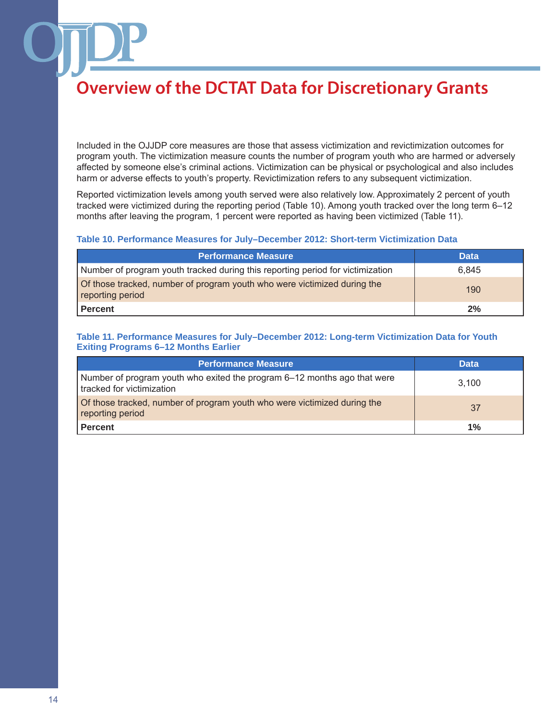Included in the OJJDP core measures are those that assess victimization and revictimization outcomes for program youth. The victimization measure counts the number of program youth who are harmed or adversely affected by someone else's criminal actions. Victimization can be physical or psychological and also includes harm or adverse effects to youth's property. Revictimization refers to any subsequent victimization.

Reported victimization levels among youth served were also relatively low. Approximately 2 percent of youth tracked were victimized during the reporting period (Table 10). Among youth tracked over the long term 6–12 months after leaving the program, 1 percent were reported as having been victimized (Table 11).

#### **Table 10. Performance Measures for July–December 2012: Short-term Victimization Data**

| <b>Performance Measure</b>                                                                   | <b>Data</b> |
|----------------------------------------------------------------------------------------------|-------------|
| Number of program youth tracked during this reporting period for victimization               | 6.845       |
| Of those tracked, number of program youth who were victimized during the<br>reporting period | 190         |
| Percent                                                                                      | 2%          |

### **Table 11. Performance Measures for July–December 2012: Long-term Victimization Data for Youth Exiting Programs 6–12 Months Earlier**

| <b>Performance Measure</b>                                                                            | <b>Data</b> |
|-------------------------------------------------------------------------------------------------------|-------------|
| Number of program youth who exited the program 6–12 months ago that were<br>tracked for victimization | 3.100       |
| Of those tracked, number of program youth who were victimized during the<br>reporting period          | 37          |
| Percent                                                                                               | $1\%$       |